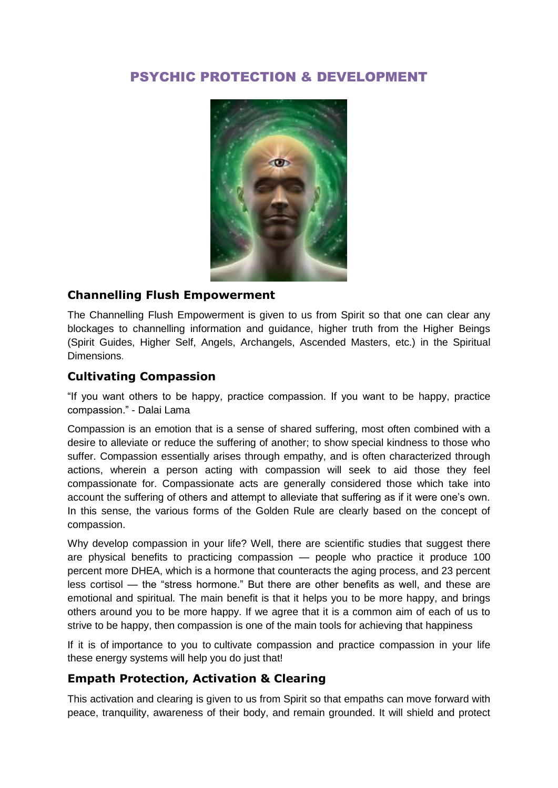# PSYCHIC PROTECTION & DEVELOPMENT



### **Channelling Flush Empowerment**

The Channelling Flush Empowerment is given to us from Spirit so that one can clear any blockages to channelling information and guidance, higher truth from the Higher Beings (Spirit Guides, Higher Self, Angels, Archangels, Ascended Masters, etc.) in the Spiritual Dimensions.

### **Cultivating Compassion**

"If you want others to be happy, practice compassion. If you want to be happy, practice compassion." - Dalai Lama

Compassion is an emotion that is a sense of shared suffering, most often combined with a desire to alleviate or reduce the suffering of another; to show special kindness to those who suffer. Compassion essentially arises through empathy, and is often characterized through actions, wherein a person acting with compassion will seek to aid those they feel compassionate for. Compassionate acts are generally considered those which take into account the suffering of others and attempt to alleviate that suffering as if it were one's own. In this sense, the various forms of the Golden Rule are clearly based on the concept of compassion.

Why develop compassion in your life? Well, there are scientific studies that suggest there are physical benefits to practicing compassion — people who practice it produce 100 percent more DHEA, which is a hormone that counteracts the aging process, and 23 percent less cortisol — the "stress hormone." But there are other benefits as well, and these are emotional and spiritual. The main benefit is that it helps you to be more happy, and brings others around you to be more happy. If we agree that it is a common aim of each of us to strive to be happy, then compassion is one of the main tools for achieving that happiness

If it is of importance to you to cultivate compassion and practice compassion in your life these energy systems will help you do just that!

# **Empath Protection, Activation & Clearing**

This activation and clearing is given to us from Spirit so that empaths can move forward with peace, tranquility, awareness of their body, and remain grounded. It will shield and protect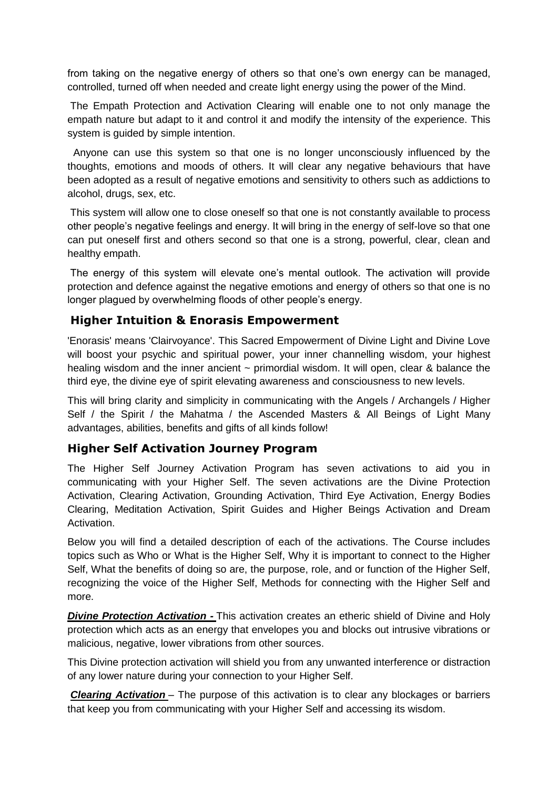from taking on the negative energy of others so that one's own energy can be managed, controlled, turned off when needed and create light energy using the power of the Mind.

The Empath Protection and Activation Clearing will enable one to not only manage the empath nature but adapt to it and control it and modify the intensity of the experience. This system is guided by simple intention.

Anyone can use this system so that one is no longer unconsciously influenced by the thoughts, emotions and moods of others. It will clear any negative behaviours that have been adopted as a result of negative emotions and sensitivity to others such as addictions to alcohol, drugs, sex, etc.

This system will allow one to close oneself so that one is not constantly available to process other people's negative feelings and energy. It will bring in the energy of self-love so that one can put oneself first and others second so that one is a strong, powerful, clear, clean and healthy empath.

The energy of this system will elevate one's mental outlook. The activation will provide protection and defence against the negative emotions and energy of others so that one is no longer plagued by overwhelming floods of other people's energy.

#### **Higher Intuition & Enorasis Empowerment**

'Enorasis' means 'Clairvoyance'. This Sacred Empowerment of Divine Light and Divine Love will boost your psychic and spiritual power, your inner channelling wisdom, your highest healing wisdom and the inner ancient  $\sim$  primordial wisdom. It will open, clear & balance the third eye, the divine eye of spirit elevating awareness and consciousness to new levels.

This will bring clarity and simplicity in communicating with the Angels / Archangels / Higher Self / the Spirit / the Mahatma / the Ascended Masters & All Beings of Light Many advantages, abilities, benefits and gifts of all kinds follow!

### **Higher Self Activation Journey Program**

The Higher Self Journey Activation Program has seven activations to aid you in communicating with your Higher Self. The seven activations are the Divine Protection Activation, Clearing Activation, Grounding Activation, Third Eye Activation, Energy Bodies Clearing, Meditation Activation, Spirit Guides and Higher Beings Activation and Dream Activation.

Below you will find a detailed description of each of the activations. The Course includes topics such as Who or What is the Higher Self, Why it is important to connect to the Higher Self, What the benefits of doing so are, the purpose, role, and or function of the Higher Self, recognizing the voice of the Higher Self, Methods for connecting with the Higher Self and more.

*Divine Protection Activation -* This activation creates an etheric shield of Divine and Holy protection which acts as an energy that envelopes you and blocks out intrusive vibrations or malicious, negative, lower vibrations from other sources.

This Divine protection activation will shield you from any unwanted interference or distraction of any lower nature during your connection to your Higher Self.

*Clearing Activation* – The purpose of this activation is to clear any blockages or barriers that keep you from communicating with your Higher Self and accessing its wisdom.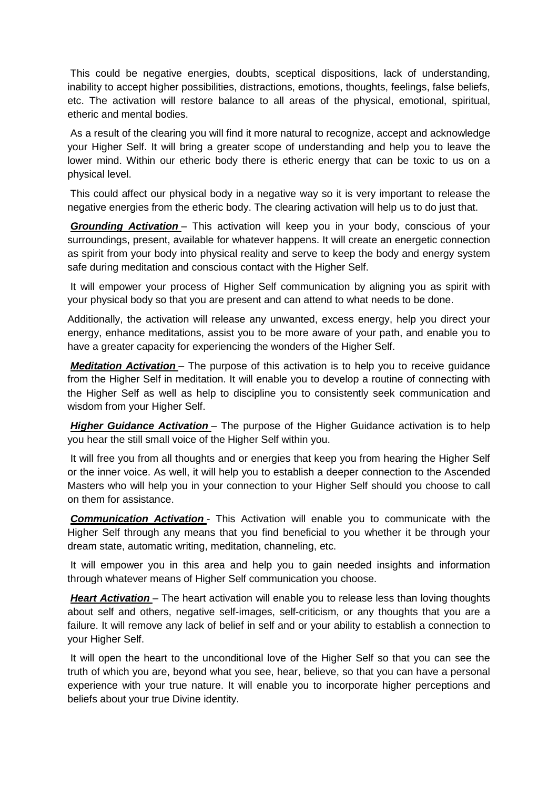This could be negative energies, doubts, sceptical dispositions, lack of understanding, inability to accept higher possibilities, distractions, emotions, thoughts, feelings, false beliefs, etc. The activation will restore balance to all areas of the physical, emotional, spiritual, etheric and mental bodies.

As a result of the clearing you will find it more natural to recognize, accept and acknowledge your Higher Self. It will bring a greater scope of understanding and help you to leave the lower mind. Within our etheric body there is etheric energy that can be toxic to us on a physical level.

This could affect our physical body in a negative way so it is very important to release the negative energies from the etheric body. The clearing activation will help us to do just that.

*Grounding Activation* – This activation will keep you in your body, conscious of your surroundings, present, available for whatever happens. It will create an energetic connection as spirit from your body into physical reality and serve to keep the body and energy system safe during meditation and conscious contact with the Higher Self.

It will empower your process of Higher Self communication by aligning you as spirit with your physical body so that you are present and can attend to what needs to be done.

Additionally, the activation will release any unwanted, excess energy, help you direct your energy, enhance meditations, assist you to be more aware of your path, and enable you to have a greater capacity for experiencing the wonders of the Higher Self.

*Meditation Activation* – The purpose of this activation is to help you to receive guidance from the Higher Self in meditation. It will enable you to develop a routine of connecting with the Higher Self as well as help to discipline you to consistently seek communication and wisdom from your Higher Self.

*Higher Guidance Activation* – The purpose of the Higher Guidance activation is to help you hear the still small voice of the Higher Self within you.

It will free you from all thoughts and or energies that keep you from hearing the Higher Self or the inner voice. As well, it will help you to establish a deeper connection to the Ascended Masters who will help you in your connection to your Higher Self should you choose to call on them for assistance.

*Communication Activation* - This Activation will enable you to communicate with the Higher Self through any means that you find beneficial to you whether it be through your dream state, automatic writing, meditation, channeling, etc.

It will empower you in this area and help you to gain needed insights and information through whatever means of Higher Self communication you choose.

*Heart Activation* – The heart activation will enable you to release less than loving thoughts about self and others, negative self-images, self-criticism, or any thoughts that you are a failure. It will remove any lack of belief in self and or your ability to establish a connection to your Higher Self.

It will open the heart to the unconditional love of the Higher Self so that you can see the truth of which you are, beyond what you see, hear, believe, so that you can have a personal experience with your true nature. It will enable you to incorporate higher perceptions and beliefs about your true Divine identity.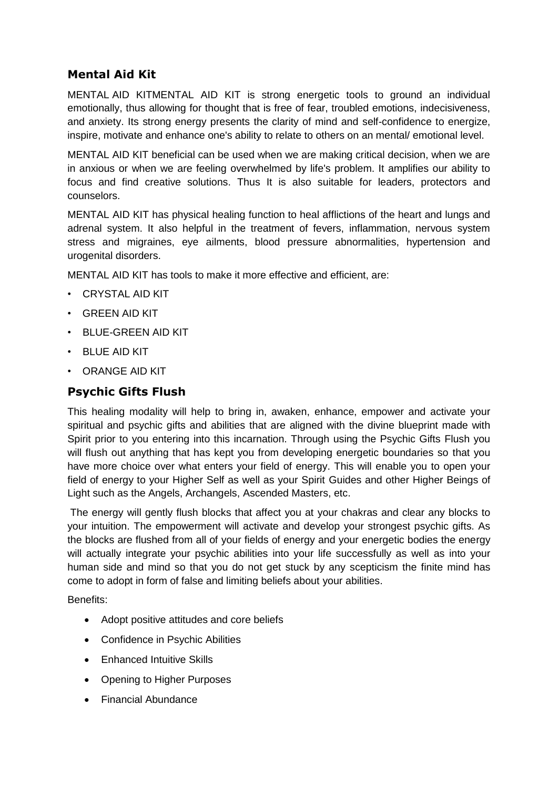# **Mental Aid Kit**

MENTAL AID KITMENTAL AID KIT is strong energetic tools to ground an individual emotionally, thus allowing for thought that is free of fear, troubled emotions, indecisiveness, and anxiety. Its strong energy presents the clarity of mind and self-confidence to energize, inspire, motivate and enhance one's ability to relate to others on an mental/ emotional level.

MENTAL AID KIT beneficial can be used when we are making critical decision, when we are in anxious or when we are feeling overwhelmed by life's problem. It amplifies our ability to focus and find creative solutions. Thus It is also suitable for leaders, protectors and counselors.

MENTAL AID KIT has physical healing function to heal afflictions of the heart and lungs and adrenal system. It also helpful in the treatment of fevers, inflammation, nervous system stress and migraines, eye ailments, blood pressure abnormalities, hypertension and urogenital disorders.

MENTAL AID KIT has tools to make it more effective and efficient, are:

- CRYSTAL AID KIT
- GREEN AID KIT
- BLUE-GREEN AID KIT
- BLUE AID KIT
- ORANGE AID KIT

### **Psychic Gifts Flush**

This healing modality will help to bring in, awaken, enhance, empower and activate your spiritual and psychic gifts and abilities that are aligned with the divine blueprint made with Spirit prior to you entering into this incarnation. Through using the Psychic Gifts Flush you will flush out anything that has kept you from developing energetic boundaries so that you have more choice over what enters your field of energy. This will enable you to open your field of energy to your Higher Self as well as your Spirit Guides and other Higher Beings of Light such as the Angels, Archangels, Ascended Masters, etc.

The energy will gently flush blocks that affect you at your chakras and clear any blocks to your intuition. The empowerment will activate and develop your strongest psychic gifts. As the blocks are flushed from all of your fields of energy and your energetic bodies the energy will actually integrate your psychic abilities into your life successfully as well as into your human side and mind so that you do not get stuck by any scepticism the finite mind has come to adopt in form of false and limiting beliefs about your abilities.

Benefits:

- Adopt positive attitudes and core beliefs
- Confidence in Psychic Abilities
- Enhanced Intuitive Skills
- Opening to Higher Purposes
- Financial Abundance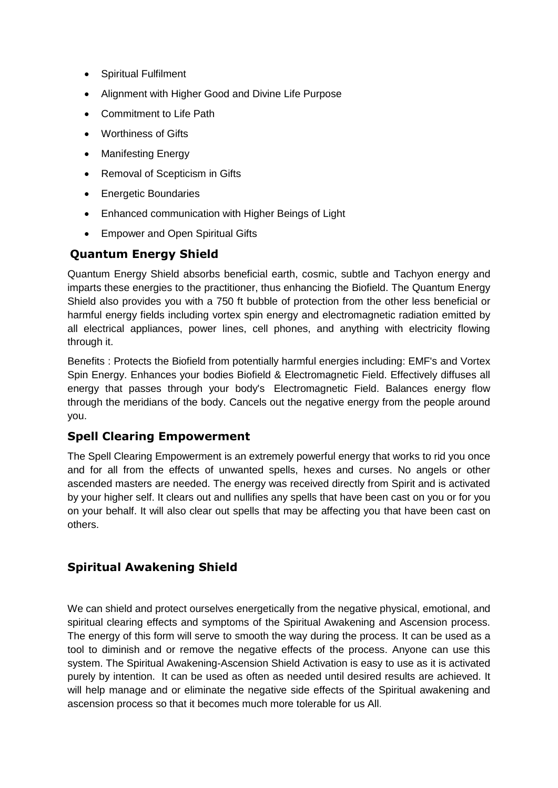- Spiritual Fulfilment
- Alignment with Higher Good and Divine Life Purpose
- Commitment to Life Path
- Worthiness of Gifts
- Manifesting Energy
- Removal of Scepticism in Gifts
- Energetic Boundaries
- Enhanced communication with Higher Beings of Light
- Empower and Open Spiritual Gifts

# **Quantum Energy Shield**

Quantum Energy Shield absorbs beneficial earth, cosmic, subtle and Tachyon energy and imparts these energies to the practitioner, thus enhancing the Biofield. The Quantum Energy Shield also provides you with a 750 ft bubble of protection from the other less beneficial or harmful energy fields including vortex spin energy and electromagnetic radiation emitted by all electrical appliances, power lines, cell phones, and anything with electricity flowing through it.

Benefits : Protects the Biofield from potentially harmful energies including: EMF's and Vortex Spin Energy. Enhances your bodies Biofield & Electromagnetic Field. Effectively diffuses all energy that passes through your body's Electromagnetic Field. Balances energy flow through the meridians of the body. Cancels out the negative energy from the people around you.

### **Spell Clearing Empowerment**

The Spell Clearing Empowerment is an extremely powerful energy that works to rid you once and for all from the effects of unwanted spells, hexes and curses. No angels or other ascended masters are needed. The energy was received directly from Spirit and is activated by your higher self. It clears out and nullifies any spells that have been cast on you or for you on your behalf. It will also clear out spells that may be affecting you that have been cast on others.

# **Spiritual Awakening Shield**

We can shield and protect ourselves energetically from the negative physical, emotional, and spiritual clearing effects and symptoms of the Spiritual Awakening and Ascension process. The energy of this form will serve to smooth the way during the process. It can be used as a tool to diminish and or remove the negative effects of the process. Anyone can use this system. The Spiritual Awakening-Ascension Shield Activation is easy to use as it is activated purely by intention. It can be used as often as needed until desired results are achieved. It will help manage and or eliminate the negative side effects of the Spiritual awakening and ascension process so that it becomes much more tolerable for us All.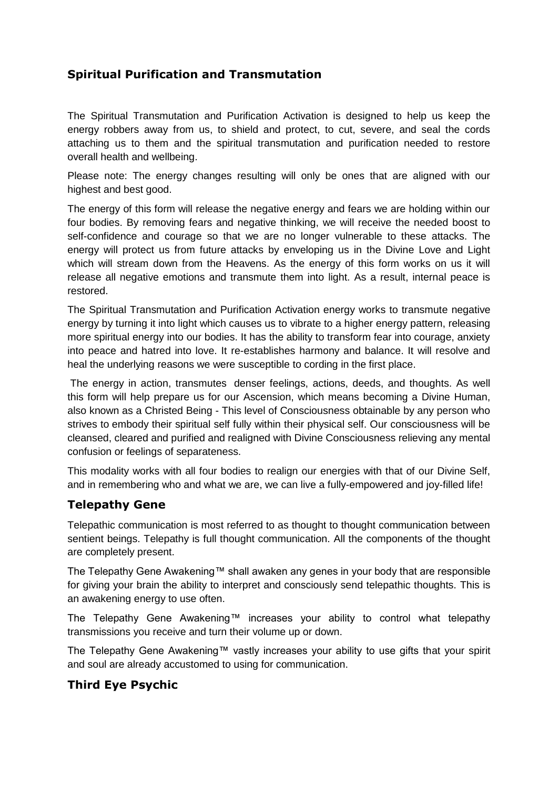# **Spiritual Purification and Transmutation**

The Spiritual Transmutation and Purification Activation is designed to help us keep the energy robbers away from us, to shield and protect, to cut, severe, and seal the cords attaching us to them and the spiritual transmutation and purification needed to restore overall health and wellbeing.

Please note: The energy changes resulting will only be ones that are aligned with our highest and best good.

The energy of this form will release the negative energy and fears we are holding within our four bodies. By removing fears and negative thinking, we will receive the needed boost to self-confidence and courage so that we are no longer vulnerable to these attacks. The energy will protect us from future attacks by enveloping us in the Divine Love and Light which will stream down from the Heavens. As the energy of this form works on us it will release all negative emotions and transmute them into light. As a result, internal peace is restored.

The Spiritual Transmutation and Purification Activation energy works to transmute negative energy by turning it into light which causes us to vibrate to a higher energy pattern, releasing more spiritual energy into our bodies. It has the ability to transform fear into courage, anxiety into peace and hatred into love. It re-establishes harmony and balance. It will resolve and heal the underlying reasons we were susceptible to cording in the first place.

The energy in action, transmutes denser feelings, actions, deeds, and thoughts. As well this form will help prepare us for our Ascension, which means becoming a Divine Human, also known as a Christed Being - This level of Consciousness obtainable by any person who strives to embody their spiritual self fully within their physical self. Our consciousness will be cleansed, cleared and purified and realigned with Divine Consciousness relieving any mental confusion or feelings of separateness.

This modality works with all four bodies to realign our energies with that of our Divine Self, and in remembering who and what we are, we can live a fully-empowered and joy-filled life!

### **Telepathy Gene**

Telepathic communication is most referred to as thought to thought communication between sentient beings. Telepathy is full thought communication. All the components of the thought are completely present.

The Telepathy Gene Awakening™ shall awaken any genes in your body that are responsible for giving your brain the ability to interpret and consciously send telepathic thoughts. This is an awakening energy to use often.

The Telepathy Gene Awakening™ increases your ability to control what telepathy transmissions you receive and turn their volume up or down.

The Telepathy Gene Awakening™ vastly increases your ability to use gifts that your spirit and soul are already accustomed to using for communication.

# **Third Eye Psychic**